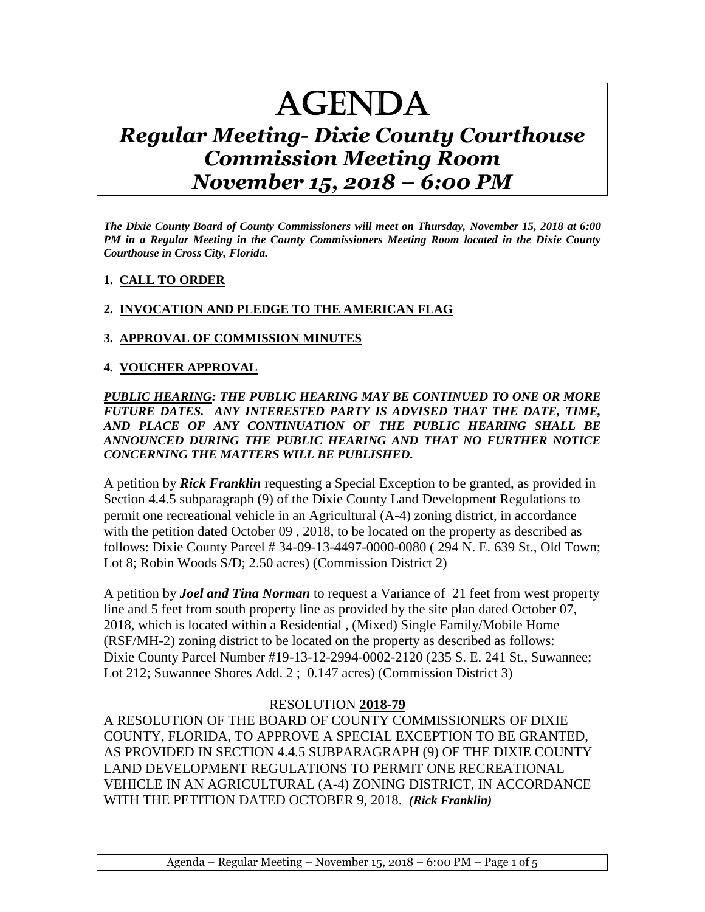# AGENDA

# *Regular Meeting- Dixie County Courthouse Commission Meeting Room November 15, 2018 – 6:00 PM*

*The Dixie County Board of County Commissioners will meet on Thursday, November 15, 2018 at 6:00 PM in a Regular Meeting in the County Commissioners Meeting Room located in the Dixie County Courthouse in Cross City, Florida.*

#### **1. CALL TO ORDER**

## **2. INVOCATION AND PLEDGE TO THE AMERICAN FLAG**

#### **3. APPROVAL OF COMMISSION MINUTES**

#### **4. VOUCHER APPROVAL**

*PUBLIC HEARING: THE PUBLIC HEARING MAY BE CONTINUED TO ONE OR MORE FUTURE DATES. ANY INTERESTED PARTY IS ADVISED THAT THE DATE, TIME, AND PLACE OF ANY CONTINUATION OF THE PUBLIC HEARING SHALL BE ANNOUNCED DURING THE PUBLIC HEARING AND THAT NO FURTHER NOTICE CONCERNING THE MATTERS WILL BE PUBLISHED.*

A petition by *Rick Franklin* requesting a Special Exception to be granted, as provided in Section 4.4.5 subparagraph (9) of the Dixie County Land Development Regulations to permit one recreational vehicle in an Agricultural (A-4) zoning district, in accordance with the petition dated October 09 , 2018, to be located on the property as described as follows: Dixie County Parcel # 34-09-13-4497-0000-0080 ( 294 N. E. 639 St., Old Town; Lot 8; Robin Woods S/D; 2.50 acres) (Commission District 2)

A petition by *Joel and Tina Norman* to request a Variance of 21 feet from west property line and 5 feet from south property line as provided by the site plan dated October 07, 2018, which is located within a Residential , (Mixed) Single Family/Mobile Home (RSF/MH-2) zoning district to be located on the property as described as follows: Dixie County Parcel Number #19-13-12-2994-0002-2120 (235 S. E. 241 St., Suwannee; Lot 212; Suwannee Shores Add. 2 ; 0.147 acres) (Commission District 3)

# RESOLUTION **2018-79**

A RESOLUTION OF THE BOARD OF COUNTY COMMISSIONERS OF DIXIE COUNTY, FLORIDA, TO APPROVE A SPECIAL EXCEPTION TO BE GRANTED, AS PROVIDED IN SECTION 4.4.5 SUBPARAGRAPH (9) OF THE DIXIE COUNTY LAND DEVELOPMENT REGULATIONS TO PERMIT ONE RECREATIONAL VEHICLE IN AN AGRICULTURAL (A-4) ZONING DISTRICT, IN ACCORDANCE WITH THE PETITION DATED OCTOBER 9, 2018. *(Rick Franklin)*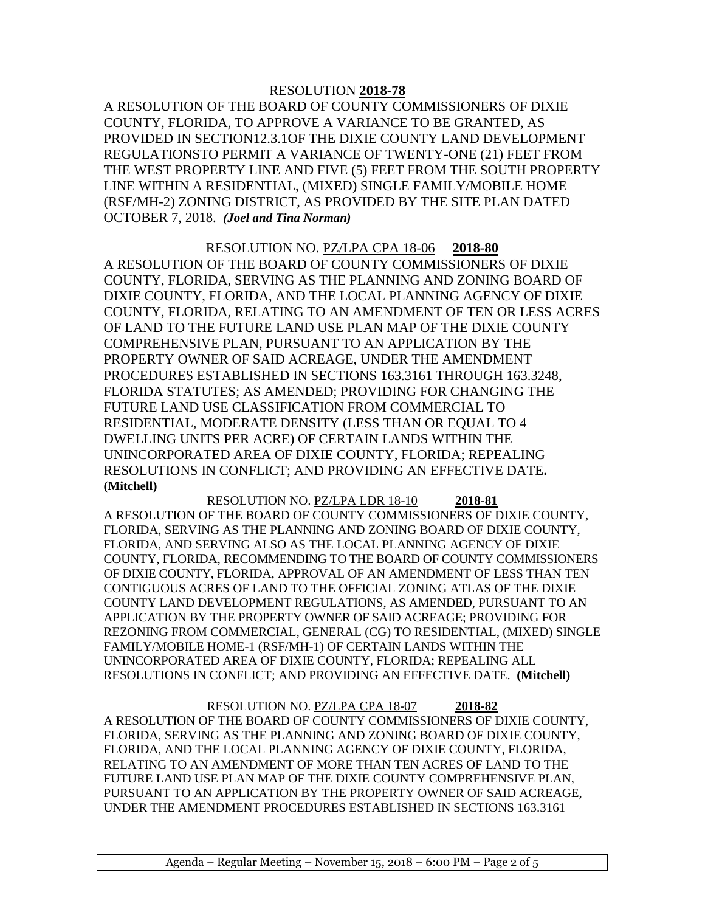A RESOLUTION OF THE BOARD OF COUNTY COMMISSIONERS OF DIXIE COUNTY, FLORIDA, TO APPROVE A VARIANCE TO BE GRANTED, AS PROVIDED IN SECTION12.3.1OF THE DIXIE COUNTY LAND DEVELOPMENT REGULATIONSTO PERMIT A VARIANCE OF TWENTY-ONE (21) FEET FROM THE WEST PROPERTY LINE AND FIVE (5) FEET FROM THE SOUTH PROPERTY LINE WITHIN A RESIDENTIAL, (MIXED) SINGLE FAMILY/MOBILE HOME (RSF/MH-2) ZONING DISTRICT, AS PROVIDED BY THE SITE PLAN DATED OCTOBER 7, 2018. *(Joel and Tina Norman)*

RESOLUTION NO. PZ/LPA CPA 18-06 **2018-80** A RESOLUTION OF THE BOARD OF COUNTY COMMISSIONERS OF DIXIE COUNTY, FLORIDA, SERVING AS THE PLANNING AND ZONING BOARD OF DIXIE COUNTY, FLORIDA, AND THE LOCAL PLANNING AGENCY OF DIXIE COUNTY, FLORIDA, RELATING TO AN AMENDMENT OF TEN OR LESS ACRES OF LAND TO THE FUTURE LAND USE PLAN MAP OF THE DIXIE COUNTY COMPREHENSIVE PLAN, PURSUANT TO AN APPLICATION BY THE PROPERTY OWNER OF SAID ACREAGE, UNDER THE AMENDMENT PROCEDURES ESTABLISHED IN SECTIONS 163.3161 THROUGH 163.3248, FLORIDA STATUTES; AS AMENDED; PROVIDING FOR CHANGING THE FUTURE LAND USE CLASSIFICATION FROM COMMERCIAL TO RESIDENTIAL, MODERATE DENSITY (LESS THAN OR EQUAL TO 4 DWELLING UNITS PER ACRE) OF CERTAIN LANDS WITHIN THE UNINCORPORATED AREA OF DIXIE COUNTY, FLORIDA; REPEALING RESOLUTIONS IN CONFLICT; AND PROVIDING AN EFFECTIVE DATE**. (Mitchell)**

RESOLUTION NO. PZ/LPA LDR 18-10 **2018-81** A RESOLUTION OF THE BOARD OF COUNTY COMMISSIONERS OF DIXIE COUNTY, FLORIDA, SERVING AS THE PLANNING AND ZONING BOARD OF DIXIE COUNTY, FLORIDA, AND SERVING ALSO AS THE LOCAL PLANNING AGENCY OF DIXIE COUNTY, FLORIDA, RECOMMENDING TO THE BOARD OF COUNTY COMMISSIONERS OF DIXIE COUNTY, FLORIDA, APPROVAL OF AN AMENDMENT OF LESS THAN TEN CONTIGUOUS ACRES OF LAND TO THE OFFICIAL ZONING ATLAS OF THE DIXIE COUNTY LAND DEVELOPMENT REGULATIONS, AS AMENDED, PURSUANT TO AN APPLICATION BY THE PROPERTY OWNER OF SAID ACREAGE; PROVIDING FOR REZONING FROM COMMERCIAL, GENERAL (CG) TO RESIDENTIAL, (MIXED) SINGLE FAMILY/MOBILE HOME-1 (RSF/MH-1) OF CERTAIN LANDS WITHIN THE UNINCORPORATED AREA OF DIXIE COUNTY, FLORIDA; REPEALING ALL RESOLUTIONS IN CONFLICT; AND PROVIDING AN EFFECTIVE DATE. **(Mitchell)**

RESOLUTION NO. PZ/LPA CPA 18-07 **2018-82** A RESOLUTION OF THE BOARD OF COUNTY COMMISSIONERS OF DIXIE COUNTY, FLORIDA, SERVING AS THE PLANNING AND ZONING BOARD OF DIXIE COUNTY, FLORIDA, AND THE LOCAL PLANNING AGENCY OF DIXIE COUNTY, FLORIDA, RELATING TO AN AMENDMENT OF MORE THAN TEN ACRES OF LAND TO THE FUTURE LAND USE PLAN MAP OF THE DIXIE COUNTY COMPREHENSIVE PLAN, PURSUANT TO AN APPLICATION BY THE PROPERTY OWNER OF SAID ACREAGE, UNDER THE AMENDMENT PROCEDURES ESTABLISHED IN SECTIONS 163.3161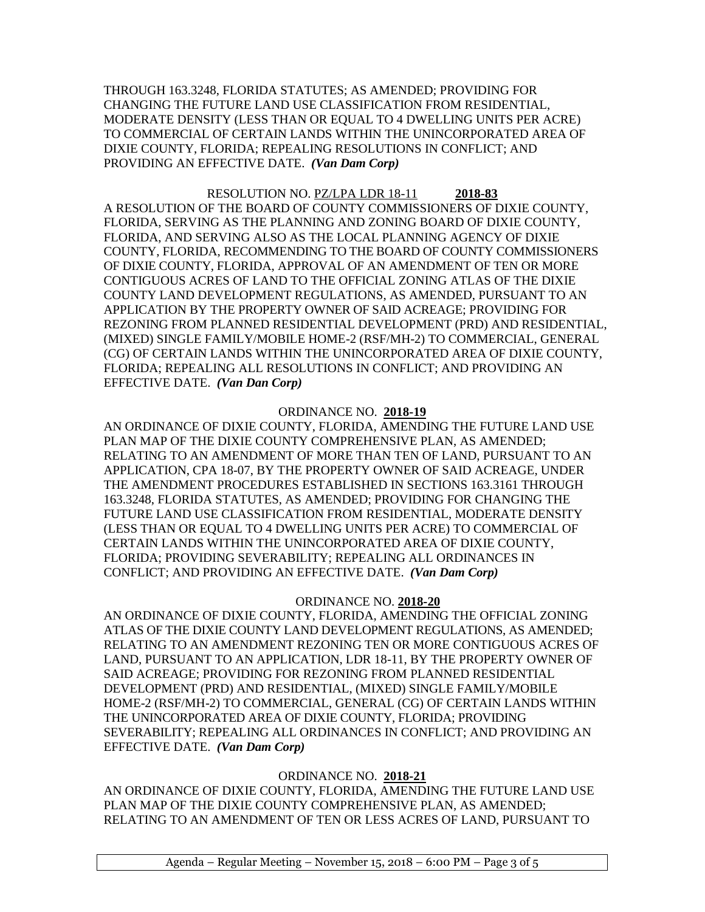THROUGH 163.3248, FLORIDA STATUTES; AS AMENDED; PROVIDING FOR CHANGING THE FUTURE LAND USE CLASSIFICATION FROM RESIDENTIAL, MODERATE DENSITY (LESS THAN OR EQUAL TO 4 DWELLING UNITS PER ACRE) TO COMMERCIAL OF CERTAIN LANDS WITHIN THE UNINCORPORATED AREA OF DIXIE COUNTY, FLORIDA; REPEALING RESOLUTIONS IN CONFLICT; AND PROVIDING AN EFFECTIVE DATE. *(Van Dam Corp)*

RESOLUTION NO. PZ/LPA LDR 18-11 **2018-83** A RESOLUTION OF THE BOARD OF COUNTY COMMISSIONERS OF DIXIE COUNTY, FLORIDA, SERVING AS THE PLANNING AND ZONING BOARD OF DIXIE COUNTY, FLORIDA, AND SERVING ALSO AS THE LOCAL PLANNING AGENCY OF DIXIE COUNTY, FLORIDA, RECOMMENDING TO THE BOARD OF COUNTY COMMISSIONERS OF DIXIE COUNTY, FLORIDA, APPROVAL OF AN AMENDMENT OF TEN OR MORE CONTIGUOUS ACRES OF LAND TO THE OFFICIAL ZONING ATLAS OF THE DIXIE COUNTY LAND DEVELOPMENT REGULATIONS, AS AMENDED, PURSUANT TO AN APPLICATION BY THE PROPERTY OWNER OF SAID ACREAGE; PROVIDING FOR REZONING FROM PLANNED RESIDENTIAL DEVELOPMENT (PRD) AND RESIDENTIAL, (MIXED) SINGLE FAMILY/MOBILE HOME-2 (RSF/MH-2) TO COMMERCIAL, GENERAL (CG) OF CERTAIN LANDS WITHIN THE UNINCORPORATED AREA OF DIXIE COUNTY, FLORIDA; REPEALING ALL RESOLUTIONS IN CONFLICT; AND PROVIDING AN EFFECTIVE DATE. *(Van Dan Corp)*

#### ORDINANCE NO. **2018-19**

AN ORDINANCE OF DIXIE COUNTY, FLORIDA, AMENDING THE FUTURE LAND USE PLAN MAP OF THE DIXIE COUNTY COMPREHENSIVE PLAN, AS AMENDED; RELATING TO AN AMENDMENT OF MORE THAN TEN OF LAND, PURSUANT TO AN APPLICATION, CPA 18-07, BY THE PROPERTY OWNER OF SAID ACREAGE, UNDER THE AMENDMENT PROCEDURES ESTABLISHED IN SECTIONS 163.3161 THROUGH 163.3248, FLORIDA STATUTES, AS AMENDED; PROVIDING FOR CHANGING THE FUTURE LAND USE CLASSIFICATION FROM RESIDENTIAL, MODERATE DENSITY (LESS THAN OR EQUAL TO 4 DWELLING UNITS PER ACRE) TO COMMERCIAL OF CERTAIN LANDS WITHIN THE UNINCORPORATED AREA OF DIXIE COUNTY, FLORIDA; PROVIDING SEVERABILITY; REPEALING ALL ORDINANCES IN CONFLICT; AND PROVIDING AN EFFECTIVE DATE. *(Van Dam Corp)*

#### ORDINANCE NO. **2018-20**

AN ORDINANCE OF DIXIE COUNTY, FLORIDA, AMENDING THE OFFICIAL ZONING ATLAS OF THE DIXIE COUNTY LAND DEVELOPMENT REGULATIONS, AS AMENDED; RELATING TO AN AMENDMENT REZONING TEN OR MORE CONTIGUOUS ACRES OF LAND, PURSUANT TO AN APPLICATION, LDR 18-11, BY THE PROPERTY OWNER OF SAID ACREAGE; PROVIDING FOR REZONING FROM PLANNED RESIDENTIAL DEVELOPMENT (PRD) AND RESIDENTIAL, (MIXED) SINGLE FAMILY/MOBILE HOME-2 (RSF/MH-2) TO COMMERCIAL, GENERAL (CG) OF CERTAIN LANDS WITHIN THE UNINCORPORATED AREA OF DIXIE COUNTY, FLORIDA; PROVIDING SEVERABILITY; REPEALING ALL ORDINANCES IN CONFLICT; AND PROVIDING AN EFFECTIVE DATE. *(Van Dam Corp)*

#### ORDINANCE NO. **2018-21**

AN ORDINANCE OF DIXIE COUNTY, FLORIDA, AMENDING THE FUTURE LAND USE PLAN MAP OF THE DIXIE COUNTY COMPREHENSIVE PLAN, AS AMENDED; RELATING TO AN AMENDMENT OF TEN OR LESS ACRES OF LAND, PURSUANT TO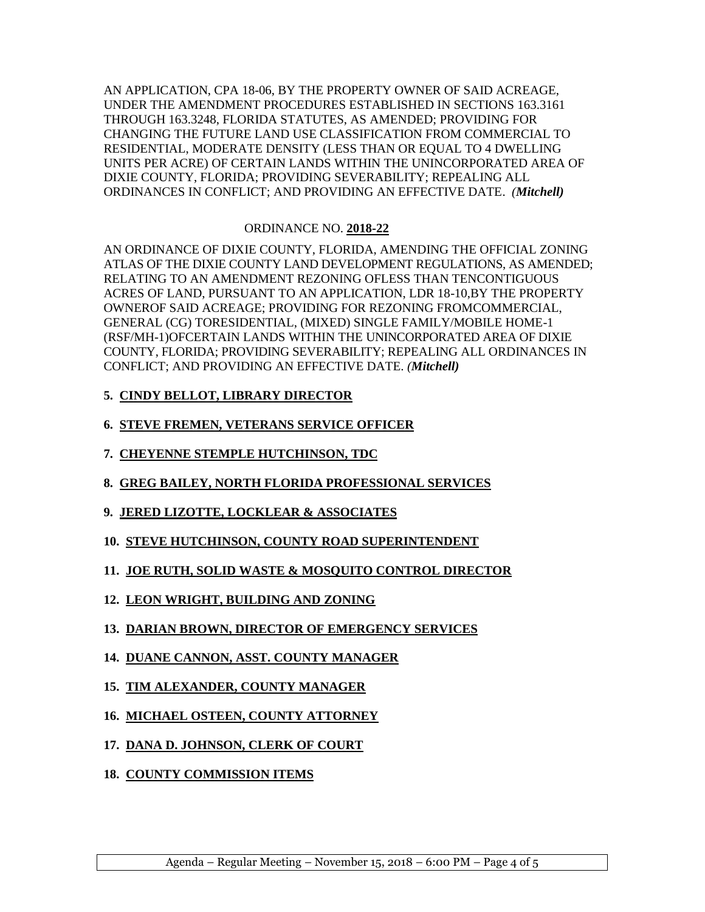AN APPLICATION, CPA 18-06, BY THE PROPERTY OWNER OF SAID ACREAGE, UNDER THE AMENDMENT PROCEDURES ESTABLISHED IN SECTIONS 163.3161 THROUGH 163.3248, FLORIDA STATUTES, AS AMENDED; PROVIDING FOR CHANGING THE FUTURE LAND USE CLASSIFICATION FROM COMMERCIAL TO RESIDENTIAL, MODERATE DENSITY (LESS THAN OR EQUAL TO 4 DWELLING UNITS PER ACRE) OF CERTAIN LANDS WITHIN THE UNINCORPORATED AREA OF DIXIE COUNTY, FLORIDA; PROVIDING SEVERABILITY; REPEALING ALL ORDINANCES IN CONFLICT; AND PROVIDING AN EFFECTIVE DATE. *(Mitchell)*

## ORDINANCE NO. **2018-22**

AN ORDINANCE OF DIXIE COUNTY, FLORIDA, AMENDING THE OFFICIAL ZONING ATLAS OF THE DIXIE COUNTY LAND DEVELOPMENT REGULATIONS, AS AMENDED; RELATING TO AN AMENDMENT REZONING OFLESS THAN TENCONTIGUOUS ACRES OF LAND, PURSUANT TO AN APPLICATION, LDR 18-10,BY THE PROPERTY OWNEROF SAID ACREAGE; PROVIDING FOR REZONING FROMCOMMERCIAL, GENERAL (CG) TORESIDENTIAL, (MIXED) SINGLE FAMILY/MOBILE HOME-1 (RSF/MH-1)OFCERTAIN LANDS WITHIN THE UNINCORPORATED AREA OF DIXIE COUNTY, FLORIDA; PROVIDING SEVERABILITY; REPEALING ALL ORDINANCES IN CONFLICT; AND PROVIDING AN EFFECTIVE DATE. *(Mitchell)*

## **5. CINDY BELLOT, LIBRARY DIRECTOR**

- **6. STEVE FREMEN, VETERANS SERVICE OFFICER**
- **7. CHEYENNE STEMPLE HUTCHINSON, TDC**
- **8. GREG BAILEY, NORTH FLORIDA PROFESSIONAL SERVICES**
- **9. JERED LIZOTTE, LOCKLEAR & ASSOCIATES**
- **10. STEVE HUTCHINSON, COUNTY ROAD SUPERINTENDENT**
- **11. JOE RUTH, SOLID WASTE & MOSQUITO CONTROL DIRECTOR**
- **12. LEON WRIGHT, BUILDING AND ZONING**
- **13. DARIAN BROWN, DIRECTOR OF EMERGENCY SERVICES**
- **14. DUANE CANNON, ASST. COUNTY MANAGER**
- **15. TIM ALEXANDER, COUNTY MANAGER**
- **16. MICHAEL OSTEEN, COUNTY ATTORNEY**
- **17. DANA D. JOHNSON, CLERK OF COURT**
- **18. COUNTY COMMISSION ITEMS**